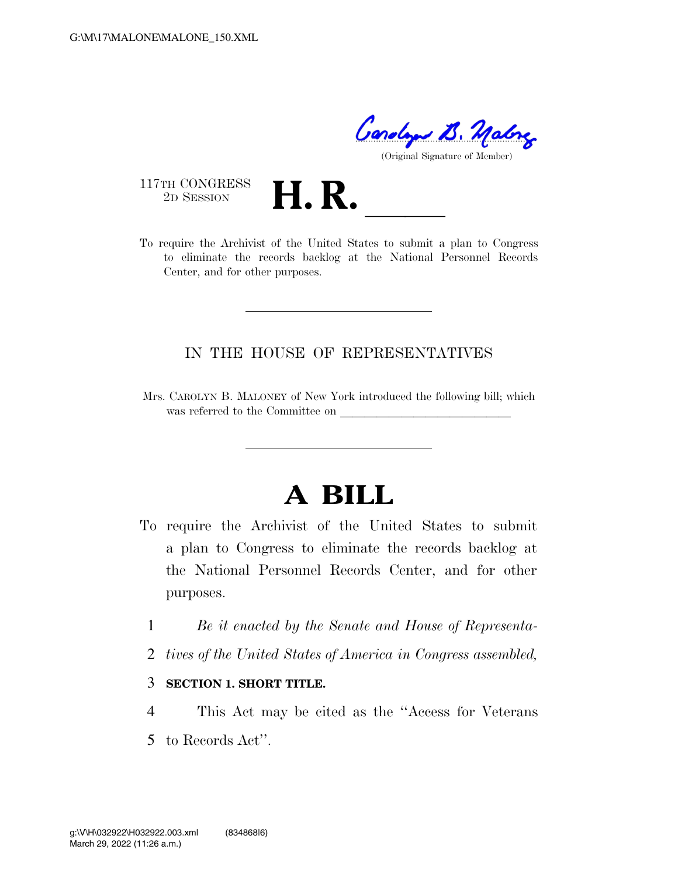Condy B. Malry

(Original Signature of Member)

117TH CONGRESS<br>2D SESSION

THE CONGRESS<br>
2D SESSION<br>
To require the Archivist of the United States to submit a plan to Congress to eliminate the records backlog at the National Personnel Records Center, and for other purposes.

## IN THE HOUSE OF REPRESENTATIVES

Mrs. CAROLYN B. MALONEY of New York introduced the following bill; which was referred to the Committee on

## **A BILL**

- To require the Archivist of the United States to submit a plan to Congress to eliminate the records backlog at the National Personnel Records Center, and for other purposes.
	- 1 *Be it enacted by the Senate and House of Representa-*
	- 2 *tives of the United States of America in Congress assembled,*
	- 3 **SECTION 1. SHORT TITLE.**
	- 4 This Act may be cited as the ''Access for Veterans 5 to Records Act''.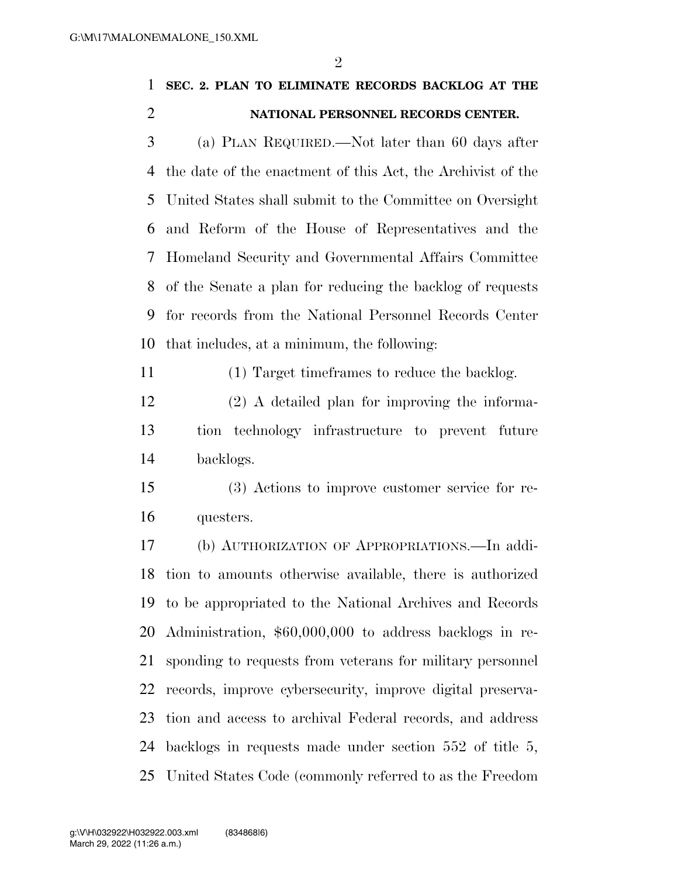$\mathfrak{D}$ 

## **SEC. 2. PLAN TO ELIMINATE RECORDS BACKLOG AT THE NATIONAL PERSONNEL RECORDS CENTER.**

 (a) PLAN REQUIRED.—Not later than 60 days after the date of the enactment of this Act, the Archivist of the United States shall submit to the Committee on Oversight and Reform of the House of Representatives and the Homeland Security and Governmental Affairs Committee of the Senate a plan for reducing the backlog of requests for records from the National Personnel Records Center that includes, at a minimum, the following:

(1) Target timeframes to reduce the backlog.

 (2) A detailed plan for improving the informa- tion technology infrastructure to prevent future backlogs.

 (3) Actions to improve customer service for re-questers.

 (b) AUTHORIZATION OF APPROPRIATIONS.—In addi- tion to amounts otherwise available, there is authorized to be appropriated to the National Archives and Records Administration, \$60,000,000 to address backlogs in re- sponding to requests from veterans for military personnel records, improve cybersecurity, improve digital preserva- tion and access to archival Federal records, and address backlogs in requests made under section 552 of title 5, United States Code (commonly referred to as the Freedom